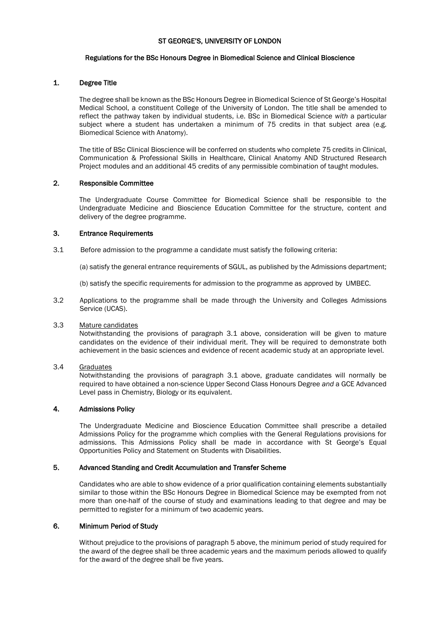### ST GEORGE'S, UNIVERSITY OF LONDON

### Regulations for the BSc Honours Degree in Biomedical Science and Clinical Bioscience

### 1. Degree Title

The degree shall be known as the BSc Honours Degree in Biomedical Science of St George's Hospital Medical School, a constituent College of the University of London. The title shall be amended to reflect the pathway taken by individual students, i.e. BSc in Biomedical Science *with* a particular subject where a student has undertaken a minimum of 75 credits in that subject area (e.g. Biomedical Science with Anatomy).

The title of BSc Clinical Bioscience will be conferred on students who complete 75 credits in Clinical, Communication & Professional Skills in Healthcare, Clinical Anatomy AND Structured Research Project modules and an additional 45 credits of any permissible combination of taught modules.

### 2. Responsible Committee

The Undergraduate Course Committee for Biomedical Science shall be responsible to the Undergraduate Medicine and Bioscience Education Committee for the structure, content and delivery of the degree programme.

### 3. Entrance Requirements

3.1 Before admission to the programme a candidate must satisfy the following criteria:

(a) satisfy the general entrance requirements of SGUL, as published by the Admissions department;

(b) satisfy the specific requirements for admission to the programme as approved by UMBEC.

3.2 Applications to the programme shall be made through the University and Colleges Admissions Service (UCAS).

### 3.3 Mature candidates

Notwithstanding the provisions of paragraph 3.1 above, consideration will be given to mature candidates on the evidence of their individual merit. They will be required to demonstrate both achievement in the basic sciences and evidence of recent academic study at an appropriate level.

### 3.4 Graduates

Notwithstanding the provisions of paragraph 3.1 above, graduate candidates will normally be required to have obtained a non-science Upper Second Class Honours Degree *and* a GCE Advanced Level pass in Chemistry, Biology or its equivalent.

### 4. Admissions Policy

The Undergraduate Medicine and Bioscience Education Committee shall prescribe a detailed Admissions Policy for the programme which complies with the General Regulations provisions for admissions. This Admissions Policy shall be made in accordance with St George's Equal Opportunities Policy and Statement on Students with Disabilities.

### 5. Advanced Standing and Credit Accumulation and Transfer Scheme

Candidates who are able to show evidence of a prior qualification containing elements substantially similar to those within the BSc Honours Degree in Biomedical Science may be exempted from not more than one-half of the course of study and examinations leading to that degree and may be permitted to register for a minimum of two academic years.

### 6. Minimum Period of Study

Without prejudice to the provisions of paragraph 5 above, the minimum period of study required for the award of the degree shall be three academic years and the maximum periods allowed to qualify for the award of the degree shall be five years.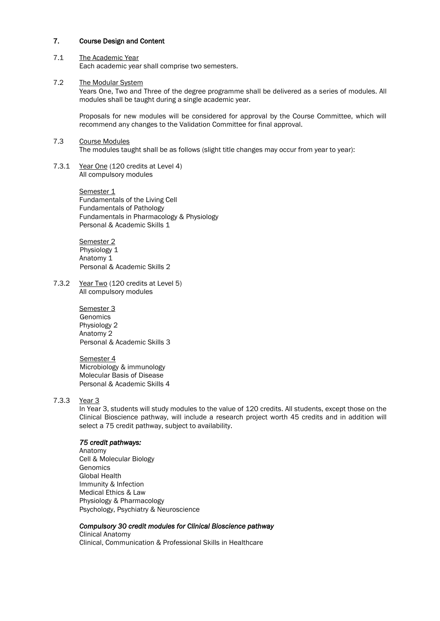### 7. Course Design and Content

#### 7.1 The Academic Year Each academic year shall comprise two semesters.

### 7.2 The Modular System

Years One, Two and Three of the degree programme shall be delivered as a series of modules. All modules shall be taught during a single academic year.

Proposals for new modules will be considered for approval by the Course Committee, which will recommend any changes to the Validation Committee for final approval.

- 7.3 Course Modules The modules taught shall be as follows (slight title changes may occur from year to year):
- 7.3.1 Year One (120 credits at Level 4) All compulsory modules

Semester 1 Fundamentals of the Living Cell Fundamentals of Pathology Fundamentals in Pharmacology & Physiology Personal & Academic Skills 1

Semester 2 Physiology 1 Anatomy 1 Personal & Academic Skills 2

7.3.2 Year Two (120 credits at Level 5) All compulsory modules

> Semester 3 Genomics Physiology 2 Anatomy 2 Personal & Academic Skills 3

> Semester 4 Microbiology & immunology Molecular Basis of Disease Personal & Academic Skills 4

# 7.3.3 Year 3

In Year 3, students will study modules to the value of 120 credits. All students, except those on the Clinical Bioscience pathway, will include a research project worth 45 credits and in addition will select a 75 credit pathway, subject to availability.

### *75 credit pathways:*

Anatomy Cell & Molecular Biology **Genomics** Global Health Immunity & Infection Medical Ethics & Law Physiology & Pharmacology Psychology, Psychiatry & Neuroscience

### *Compulsory 30 credit modules for Clinical Bioscience pathway*

Clinical Anatomy Clinical, Communication & Professional Skills in Healthcare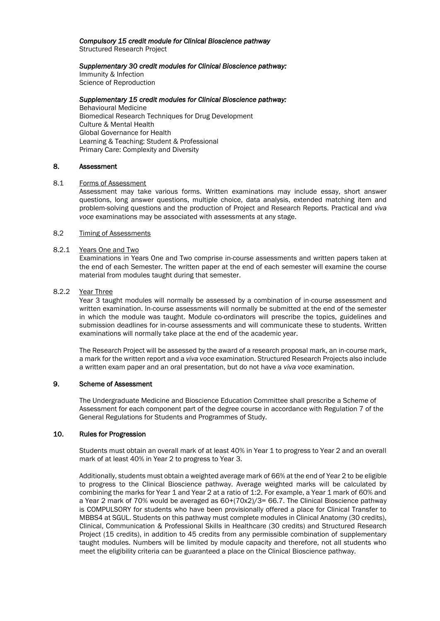# *Compulsory 15 credit module for Clinical Bioscience pathway*

Structured Research Project

### *Supplementary 30 credit modules for Clinical Bioscience pathway:*

Immunity & Infection Science of Reproduction

### *Supplementary 15 credit modules for Clinical Bioscience pathway:*

Behavioural Medicine Biomedical Research Techniques for Drug Development Culture & Mental Health Global Governance for Health Learning & Teaching: Student & Professional Primary Care: Complexity and Diversity

### 8. Assessment

### 8.1 Forms of Assessment

Assessment may take various forms. Written examinations may include essay, short answer questions, long answer questions, multiple choice, data analysis, extended matching item and problem-solving questions and the production of Project and Research Reports. Practical and *viva voce* examinations may be associated with assessments at any stage.

### 8.2 Timing of Assessments

### 8.2.1 Years One and Two

Examinations in Years One and Two comprise in-course assessments and written papers taken at the end of each Semester. The written paper at the end of each semester will examine the course material from modules taught during that semester.

### 8.2.2 Year Three

Year 3 taught modules will normally be assessed by a combination of in-course assessment and written examination. In-course assessments will normally be submitted at the end of the semester in which the module was taught. Module co-ordinators will prescribe the topics, guidelines and submission deadlines for in-course assessments and will communicate these to students. Written examinations will normally take place at the end of the academic year.

The Research Project will be assessed by the award of a research proposal mark, an in-course mark, a mark for the written report and a *viva voce* examination. Structured Research Projects also include a written exam paper and an oral presentation, but do not have a *viva voce* examination.

### 9. Scheme of Assessment

The Undergraduate Medicine and Bioscience Education Committee shall prescribe a Scheme of Assessment for each component part of the degree course in accordance with Regulation 7 of the General Regulations for Students and Programmes of Study.

## 10. Rules for Progression

Students must obtain an overall mark of at least 40% in Year 1 to progress to Year 2 and an overall mark of at least 40% in Year 2 to progress to Year 3.

Additionally, students must obtain a weighted average mark of 66% at the end of Year 2 to be eligible to progress to the Clinical Bioscience pathway. Average weighted marks will be calculated by combining the marks for Year 1 and Year 2 at a ratio of 1:2. For example, a Year 1 mark of 60% and a Year 2 mark of 70% would be averaged as  $60+(70x2)/3=66.7$ . The Clinical Bioscience pathway is COMPULSORY for students who have been provisionally offered a place for Clinical Transfer to MBBS4 at SGUL. Students on this pathway must complete modules in Clinical Anatomy (30 credits), Clinical, Communication & Professional Skills in Healthcare (30 credits) and Structured Research Project (15 credits), in addition to 45 credits from any permissible combination of supplementary taught modules. Numbers will be limited by module capacity and therefore, not all students who meet the eligibility criteria can be guaranteed a place on the Clinical Bioscience pathway.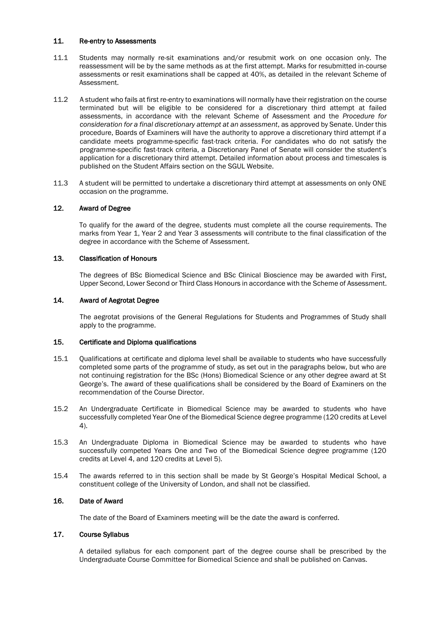### 11. Re-entry to Assessments

- 11.1 Students may normally re-sit examinations and/or resubmit work on one occasion only. The reassessment will be by the same methods as at the first attempt. Marks for resubmitted in-course assessments or resit examinations shall be capped at 40%, as detailed in the relevant Scheme of Assessment.
- 11.2 A student who fails at first re-entry to examinations will normally have their registration on the course terminated but will be eligible to be considered for a discretionary third attempt at failed assessments, in accordance with the relevant Scheme of Assessment and the *Procedure for consideration for a final discretionary attempt at an assessment*, as approved by Senate. Under this procedure, Boards of Examiners will have the authority to approve a discretionary third attempt if a candidate meets programme-specific fast-track criteria. For candidates who do not satisfy the programme-specific fast-track criteria, a Discretionary Panel of Senate will consider the student's application for a discretionary third attempt. Detailed information about process and timescales is published on the Student Affairs section on the SGUL Website.
- 11.3 A student will be permitted to undertake a discretionary third attempt at assessments on only ONE occasion on the programme.

### 12. Award of Degree

To qualify for the award of the degree, students must complete all the course requirements. The marks from Year 1, Year 2 and Year 3 assessments will contribute to the final classification of the degree in accordance with the Scheme of Assessment.

### 13. Classification of Honours

The degrees of BSc Biomedical Science and BSc Clinical Bioscience may be awarded with First, Upper Second, Lower Second or Third Class Honours in accordance with the Scheme of Assessment.

### 14. Award of Aegrotat Degree

The aegrotat provisions of the General Regulations for Students and Programmes of Study shall apply to the programme.

### 15. Certificate and Diploma qualifications

- 15.1 Qualifications at certificate and diploma level shall be available to students who have successfully completed some parts of the programme of study, as set out in the paragraphs below, but who are not continuing registration for the BSc (Hons) Biomedical Science or any other degree award at St George's. The award of these qualifications shall be considered by the Board of Examiners on the recommendation of the Course Director.
- 15.2 An Undergraduate Certificate in Biomedical Science may be awarded to students who have successfully completed Year One of the Biomedical Science degree programme (120 credits at Level 4).
- 15.3 An Undergraduate Diploma in Biomedical Science may be awarded to students who have successfully competed Years One and Two of the Biomedical Science degree programme (120 credits at Level 4, and 120 credits at Level 5).
- 15.4 The awards referred to in this section shall be made by St George's Hospital Medical School, a constituent college of the University of London, and shall not be classified.

### 16. Date of Award

The date of the Board of Examiners meeting will be the date the award is conferred.

### 17. Course Syllabus

A detailed syllabus for each component part of the degree course shall be prescribed by the Undergraduate Course Committee for Biomedical Science and shall be published on Canvas.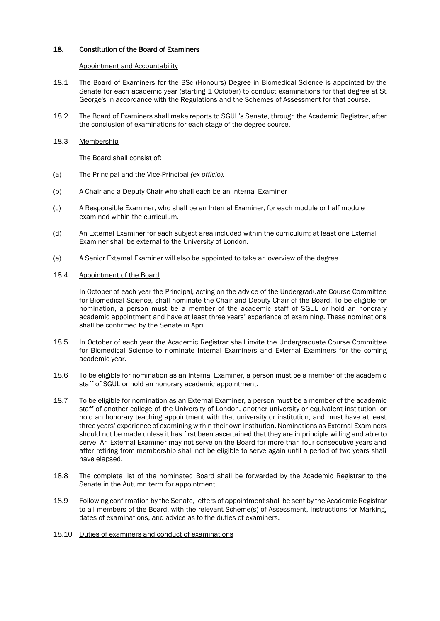### 18. Constitution of the Board of Examiners

#### Appointment and Accountability

- 18.1 The Board of Examiners for the BSc (Honours) Degree in Biomedical Science is appointed by the Senate for each academic year (starting 1 October) to conduct examinations for that degree at St George's in accordance with the Regulations and the Schemes of Assessment for that course.
- 18.2 The Board of Examiners shall make reports to SGUL's Senate, through the Academic Registrar, after the conclusion of examinations for each stage of the degree course.
- 18.3 Membership

The Board shall consist of:

- (a) The Principal and the Vice-Principal *(ex officio).*
- (b) A Chair and a Deputy Chair who shall each be an Internal Examiner
- (c) A Responsible Examiner, who shall be an Internal Examiner, for each module or half module examined within the curriculum.
- (d) An External Examiner for each subject area included within the curriculum; at least one External Examiner shall be external to the University of London.
- (e) A Senior External Examiner will also be appointed to take an overview of the degree.

#### 18.4 Appointment of the Board

In October of each year the Principal, acting on the advice of the Undergraduate Course Committee for Biomedical Science, shall nominate the Chair and Deputy Chair of the Board. To be eligible for nomination, a person must be a member of the academic staff of SGUL or hold an honorary academic appointment and have at least three years' experience of examining. These nominations shall be confirmed by the Senate in April.

- 18.5 In October of each year the Academic Registrar shall invite the Undergraduate Course Committee for Biomedical Science to nominate Internal Examiners and External Examiners for the coming academic year.
- 18.6 To be eligible for nomination as an Internal Examiner, a person must be a member of the academic staff of SGUL or hold an honorary academic appointment.
- 18.7 To be eligible for nomination as an External Examiner, a person must be a member of the academic staff of another college of the University of London, another university or equivalent institution, or hold an honorary teaching appointment with that university or institution, and must have at least three years' experience of examining within their own institution. Nominations as External Examiners should not be made unless it has first been ascertained that they are in principle willing and able to serve. An External Examiner may not serve on the Board for more than four consecutive years and after retiring from membership shall not be eligible to serve again until a period of two years shall have elapsed.
- 18.8 The complete list of the nominated Board shall be forwarded by the Academic Registrar to the Senate in the Autumn term for appointment.
- 18.9 Following confirmation by the Senate, letters of appointment shall be sent by the Academic Registrar to all members of the Board, with the relevant Scheme(s) of Assessment, Instructions for Marking, dates of examinations, and advice as to the duties of examiners.
- 18.10 Duties of examiners and conduct of examinations